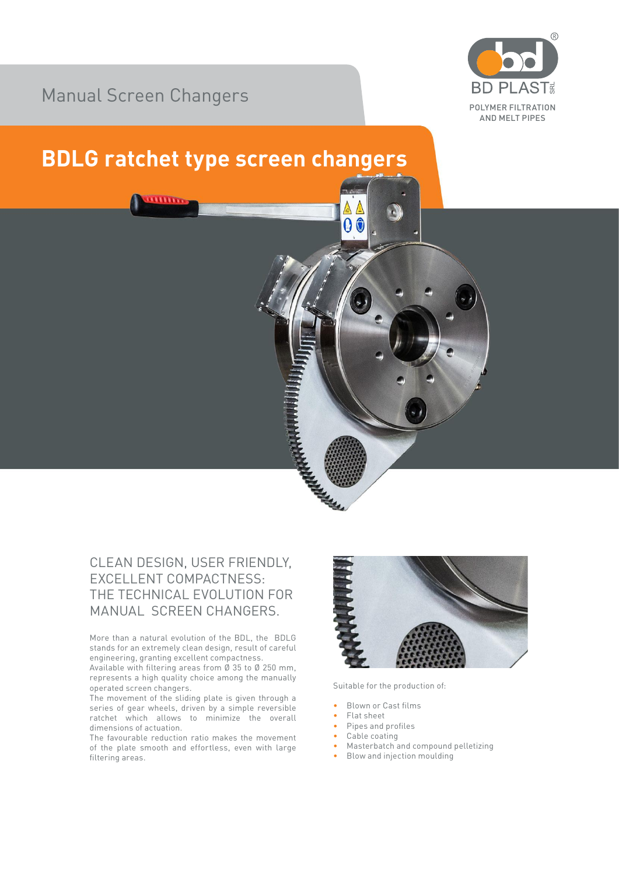## Manual Screen Changers



## **BDLG ratchet type screen changers**



More than a natural evolution of the BDL, the BDLG stands for an extremely clean design, result of careful engineering, granting excellent compactness.

Available with filtering areas from Ø 35 to Ø 250 mm, represents a high quality choice among the manually operated screen changers.

The movement of the sliding plate is given through a series of gear wheels, driven by a simple reversible ratchet which allows to minimize the overall dimensions of actuation.

The favourable reduction ratio makes the movement of the plate smooth and effortless, even with large filtering areas.



Suitable for the production of:

- Blown or Cast films
- Flat sheet

A

- Pipes and profiles
- Cable coating
- Masterbatch and compound pelletizing
- Blow and injection moulding